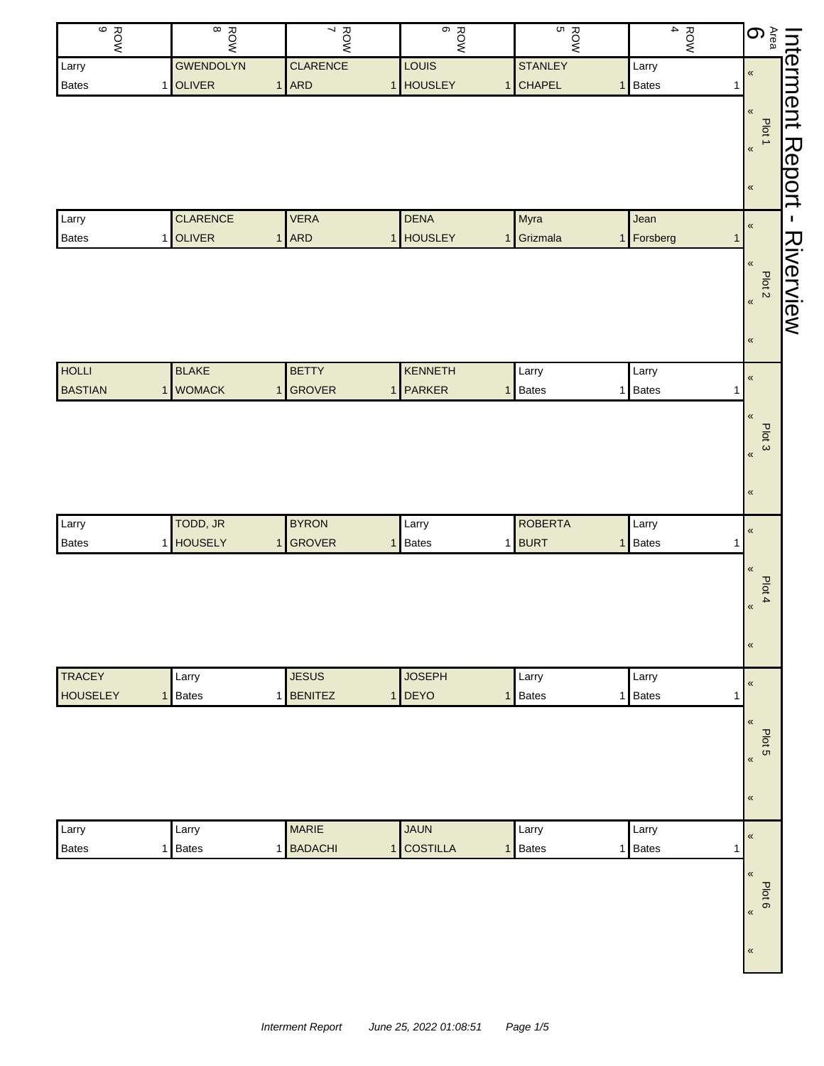| $rac{6}{9}$<br>ROW<br>7<br>$\frac{1}{2}$ Interment F $\frac{1}{2}$<br><b>CLARENCE</b><br><b>GWENDOLYN</b><br>LOUIS<br><b>STANLEY</b><br>Larry<br>Larry<br>1 OLIVER<br>$1$ ARD<br><b>HOUSLEY</b><br>1 CHAPEL<br>Bates<br>1 Bates<br>$\mathbf{1}$<br>1<br>Plot 1<br>$\pmb{\kappa}$<br>$\pmb{\kappa}$<br><b>CLARENCE</b><br><b>VERA</b><br><b>DENA</b><br>Myra<br>Larry<br>Jean<br>$\pmb{\mathfrak{C}}$<br>1 OLIVER<br>$1$ ARD<br>1 HOUSLEY<br>Grizmala<br>1 Forsberg<br>Bates<br>1 <sup>1</sup><br>$\mathbf{1}$<br>$\pmb{\mathfrak{C}}$<br>Plot <sub>2</sub><br>$\pmb{\kappa}$<br>$\pmb{\kappa}$<br><b>HOLLI</b><br><b>BLAKE</b><br><b>BETTY</b><br>KENNETH<br>Larry<br>Larry<br>$\pmb{\mathcal{R}}$<br>1 WOMACK<br>1 GROVER<br><b>BASTIAN</b><br>PARKER<br><b>Bates</b><br>1 Bates<br>1<br>$\mathbf{1}$<br>1<br>$\pmb{\ll}$<br>Plot 3<br>$\pmb{\mathcal{R}}$<br>$\pmb{\kappa}$<br>TODD, JR<br><b>BYRON</b><br><b>ROBERTA</b><br>Larry<br>Larry<br>Larry<br>$\pmb{\mathcal{R}}$<br>1 HOUSELY<br>1 GROVER<br>1 BURT<br>1 Bates<br>Bates<br><b>Bates</b><br>1<br>1<br>$\pmb{\kappa}$<br>Plot 4<br>«<br>$\pmb{\kappa}$<br><b>TRACEY</b><br><b>JESUS</b><br><b>JOSEPH</b><br>Larry<br>Larry<br>Larry<br>«<br><b>Bates</b><br><b>HOUSELEY</b><br>1 Bates<br>1 BENITEZ<br><b>DEYO</b><br>1 Bates<br>$\mathbf{1}$<br>$\mathbf{1}$<br>1<br>$\pmb{\kappa}$<br>Plot 5<br>$\pmb{\kappa}$<br>$\pmb{\kappa}$<br><b>MARIE</b><br><b>JAUN</b><br>Larry<br>Larry<br>Larry<br>Larry<br>$\pmb{\mathcal{R}}$<br>1 BADACHI<br><b>COSTILLA</b><br><b>Bates</b><br>1 Bates<br>1 Bates<br>Bates<br>1 <sup>1</sup><br>1<br>1<br>$\pmb{\kappa}$<br>Plot 6 |
|--------------------------------------------------------------------------------------------------------------------------------------------------------------------------------------------------------------------------------------------------------------------------------------------------------------------------------------------------------------------------------------------------------------------------------------------------------------------------------------------------------------------------------------------------------------------------------------------------------------------------------------------------------------------------------------------------------------------------------------------------------------------------------------------------------------------------------------------------------------------------------------------------------------------------------------------------------------------------------------------------------------------------------------------------------------------------------------------------------------------------------------------------------------------------------------------------------------------------------------------------------------------------------------------------------------------------------------------------------------------------------------------------------------------------------------------------------------------------------------------------------------------------------------------------------------------------------------------------------------------------------|
|                                                                                                                                                                                                                                                                                                                                                                                                                                                                                                                                                                                                                                                                                                                                                                                                                                                                                                                                                                                                                                                                                                                                                                                                                                                                                                                                                                                                                                                                                                                                                                                                                                |
|                                                                                                                                                                                                                                                                                                                                                                                                                                                                                                                                                                                                                                                                                                                                                                                                                                                                                                                                                                                                                                                                                                                                                                                                                                                                                                                                                                                                                                                                                                                                                                                                                                |
|                                                                                                                                                                                                                                                                                                                                                                                                                                                                                                                                                                                                                                                                                                                                                                                                                                                                                                                                                                                                                                                                                                                                                                                                                                                                                                                                                                                                                                                                                                                                                                                                                                |
|                                                                                                                                                                                                                                                                                                                                                                                                                                                                                                                                                                                                                                                                                                                                                                                                                                                                                                                                                                                                                                                                                                                                                                                                                                                                                                                                                                                                                                                                                                                                                                                                                                |
|                                                                                                                                                                                                                                                                                                                                                                                                                                                                                                                                                                                                                                                                                                                                                                                                                                                                                                                                                                                                                                                                                                                                                                                                                                                                                                                                                                                                                                                                                                                                                                                                                                |
|                                                                                                                                                                                                                                                                                                                                                                                                                                                                                                                                                                                                                                                                                                                                                                                                                                                                                                                                                                                                                                                                                                                                                                                                                                                                                                                                                                                                                                                                                                                                                                                                                                |
|                                                                                                                                                                                                                                                                                                                                                                                                                                                                                                                                                                                                                                                                                                                                                                                                                                                                                                                                                                                                                                                                                                                                                                                                                                                                                                                                                                                                                                                                                                                                                                                                                                |
|                                                                                                                                                                                                                                                                                                                                                                                                                                                                                                                                                                                                                                                                                                                                                                                                                                                                                                                                                                                                                                                                                                                                                                                                                                                                                                                                                                                                                                                                                                                                                                                                                                |
|                                                                                                                                                                                                                                                                                                                                                                                                                                                                                                                                                                                                                                                                                                                                                                                                                                                                                                                                                                                                                                                                                                                                                                                                                                                                                                                                                                                                                                                                                                                                                                                                                                |
|                                                                                                                                                                                                                                                                                                                                                                                                                                                                                                                                                                                                                                                                                                                                                                                                                                                                                                                                                                                                                                                                                                                                                                                                                                                                                                                                                                                                                                                                                                                                                                                                                                |
|                                                                                                                                                                                                                                                                                                                                                                                                                                                                                                                                                                                                                                                                                                                                                                                                                                                                                                                                                                                                                                                                                                                                                                                                                                                                                                                                                                                                                                                                                                                                                                                                                                |
|                                                                                                                                                                                                                                                                                                                                                                                                                                                                                                                                                                                                                                                                                                                                                                                                                                                                                                                                                                                                                                                                                                                                                                                                                                                                                                                                                                                                                                                                                                                                                                                                                                |
|                                                                                                                                                                                                                                                                                                                                                                                                                                                                                                                                                                                                                                                                                                                                                                                                                                                                                                                                                                                                                                                                                                                                                                                                                                                                                                                                                                                                                                                                                                                                                                                                                                |
|                                                                                                                                                                                                                                                                                                                                                                                                                                                                                                                                                                                                                                                                                                                                                                                                                                                                                                                                                                                                                                                                                                                                                                                                                                                                                                                                                                                                                                                                                                                                                                                                                                |
|                                                                                                                                                                                                                                                                                                                                                                                                                                                                                                                                                                                                                                                                                                                                                                                                                                                                                                                                                                                                                                                                                                                                                                                                                                                                                                                                                                                                                                                                                                                                                                                                                                |
|                                                                                                                                                                                                                                                                                                                                                                                                                                                                                                                                                                                                                                                                                                                                                                                                                                                                                                                                                                                                                                                                                                                                                                                                                                                                                                                                                                                                                                                                                                                                                                                                                                |
|                                                                                                                                                                                                                                                                                                                                                                                                                                                                                                                                                                                                                                                                                                                                                                                                                                                                                                                                                                                                                                                                                                                                                                                                                                                                                                                                                                                                                                                                                                                                                                                                                                |
|                                                                                                                                                                                                                                                                                                                                                                                                                                                                                                                                                                                                                                                                                                                                                                                                                                                                                                                                                                                                                                                                                                                                                                                                                                                                                                                                                                                                                                                                                                                                                                                                                                |
|                                                                                                                                                                                                                                                                                                                                                                                                                                                                                                                                                                                                                                                                                                                                                                                                                                                                                                                                                                                                                                                                                                                                                                                                                                                                                                                                                                                                                                                                                                                                                                                                                                |
|                                                                                                                                                                                                                                                                                                                                                                                                                                                                                                                                                                                                                                                                                                                                                                                                                                                                                                                                                                                                                                                                                                                                                                                                                                                                                                                                                                                                                                                                                                                                                                                                                                |
|                                                                                                                                                                                                                                                                                                                                                                                                                                                                                                                                                                                                                                                                                                                                                                                                                                                                                                                                                                                                                                                                                                                                                                                                                                                                                                                                                                                                                                                                                                                                                                                                                                |
|                                                                                                                                                                                                                                                                                                                                                                                                                                                                                                                                                                                                                                                                                                                                                                                                                                                                                                                                                                                                                                                                                                                                                                                                                                                                                                                                                                                                                                                                                                                                                                                                                                |
|                                                                                                                                                                                                                                                                                                                                                                                                                                                                                                                                                                                                                                                                                                                                                                                                                                                                                                                                                                                                                                                                                                                                                                                                                                                                                                                                                                                                                                                                                                                                                                                                                                |
|                                                                                                                                                                                                                                                                                                                                                                                                                                                                                                                                                                                                                                                                                                                                                                                                                                                                                                                                                                                                                                                                                                                                                                                                                                                                                                                                                                                                                                                                                                                                                                                                                                |
|                                                                                                                                                                                                                                                                                                                                                                                                                                                                                                                                                                                                                                                                                                                                                                                                                                                                                                                                                                                                                                                                                                                                                                                                                                                                                                                                                                                                                                                                                                                                                                                                                                |
|                                                                                                                                                                                                                                                                                                                                                                                                                                                                                                                                                                                                                                                                                                                                                                                                                                                                                                                                                                                                                                                                                                                                                                                                                                                                                                                                                                                                                                                                                                                                                                                                                                |
|                                                                                                                                                                                                                                                                                                                                                                                                                                                                                                                                                                                                                                                                                                                                                                                                                                                                                                                                                                                                                                                                                                                                                                                                                                                                                                                                                                                                                                                                                                                                                                                                                                |
|                                                                                                                                                                                                                                                                                                                                                                                                                                                                                                                                                                                                                                                                                                                                                                                                                                                                                                                                                                                                                                                                                                                                                                                                                                                                                                                                                                                                                                                                                                                                                                                                                                |
|                                                                                                                                                                                                                                                                                                                                                                                                                                                                                                                                                                                                                                                                                                                                                                                                                                                                                                                                                                                                                                                                                                                                                                                                                                                                                                                                                                                                                                                                                                                                                                                                                                |
|                                                                                                                                                                                                                                                                                                                                                                                                                                                                                                                                                                                                                                                                                                                                                                                                                                                                                                                                                                                                                                                                                                                                                                                                                                                                                                                                                                                                                                                                                                                                                                                                                                |
|                                                                                                                                                                                                                                                                                                                                                                                                                                                                                                                                                                                                                                                                                                                                                                                                                                                                                                                                                                                                                                                                                                                                                                                                                                                                                                                                                                                                                                                                                                                                                                                                                                |
|                                                                                                                                                                                                                                                                                                                                                                                                                                                                                                                                                                                                                                                                                                                                                                                                                                                                                                                                                                                                                                                                                                                                                                                                                                                                                                                                                                                                                                                                                                                                                                                                                                |
|                                                                                                                                                                                                                                                                                                                                                                                                                                                                                                                                                                                                                                                                                                                                                                                                                                                                                                                                                                                                                                                                                                                                                                                                                                                                                                                                                                                                                                                                                                                                                                                                                                |
|                                                                                                                                                                                                                                                                                                                                                                                                                                                                                                                                                                                                                                                                                                                                                                                                                                                                                                                                                                                                                                                                                                                                                                                                                                                                                                                                                                                                                                                                                                                                                                                                                                |
|                                                                                                                                                                                                                                                                                                                                                                                                                                                                                                                                                                                                                                                                                                                                                                                                                                                                                                                                                                                                                                                                                                                                                                                                                                                                                                                                                                                                                                                                                                                                                                                                                                |
|                                                                                                                                                                                                                                                                                                                                                                                                                                                                                                                                                                                                                                                                                                                                                                                                                                                                                                                                                                                                                                                                                                                                                                                                                                                                                                                                                                                                                                                                                                                                                                                                                                |
|                                                                                                                                                                                                                                                                                                                                                                                                                                                                                                                                                                                                                                                                                                                                                                                                                                                                                                                                                                                                                                                                                                                                                                                                                                                                                                                                                                                                                                                                                                                                                                                                                                |
|                                                                                                                                                                                                                                                                                                                                                                                                                                                                                                                                                                                                                                                                                                                                                                                                                                                                                                                                                                                                                                                                                                                                                                                                                                                                                                                                                                                                                                                                                                                                                                                                                                |
|                                                                                                                                                                                                                                                                                                                                                                                                                                                                                                                                                                                                                                                                                                                                                                                                                                                                                                                                                                                                                                                                                                                                                                                                                                                                                                                                                                                                                                                                                                                                                                                                                                |
|                                                                                                                                                                                                                                                                                                                                                                                                                                                                                                                                                                                                                                                                                                                                                                                                                                                                                                                                                                                                                                                                                                                                                                                                                                                                                                                                                                                                                                                                                                                                                                                                                                |
|                                                                                                                                                                                                                                                                                                                                                                                                                                                                                                                                                                                                                                                                                                                                                                                                                                                                                                                                                                                                                                                                                                                                                                                                                                                                                                                                                                                                                                                                                                                                                                                                                                |
|                                                                                                                                                                                                                                                                                                                                                                                                                                                                                                                                                                                                                                                                                                                                                                                                                                                                                                                                                                                                                                                                                                                                                                                                                                                                                                                                                                                                                                                                                                                                                                                                                                |
|                                                                                                                                                                                                                                                                                                                                                                                                                                                                                                                                                                                                                                                                                                                                                                                                                                                                                                                                                                                                                                                                                                                                                                                                                                                                                                                                                                                                                                                                                                                                                                                                                                |
|                                                                                                                                                                                                                                                                                                                                                                                                                                                                                                                                                                                                                                                                                                                                                                                                                                                                                                                                                                                                                                                                                                                                                                                                                                                                                                                                                                                                                                                                                                                                                                                                                                |
| $\pmb{\kappa}$                                                                                                                                                                                                                                                                                                                                                                                                                                                                                                                                                                                                                                                                                                                                                                                                                                                                                                                                                                                                                                                                                                                                                                                                                                                                                                                                                                                                                                                                                                                                                                                                                 |
|                                                                                                                                                                                                                                                                                                                                                                                                                                                                                                                                                                                                                                                                                                                                                                                                                                                                                                                                                                                                                                                                                                                                                                                                                                                                                                                                                                                                                                                                                                                                                                                                                                |
| $\pmb{\mathfrak{C}}$                                                                                                                                                                                                                                                                                                                                                                                                                                                                                                                                                                                                                                                                                                                                                                                                                                                                                                                                                                                                                                                                                                                                                                                                                                                                                                                                                                                                                                                                                                                                                                                                           |
|                                                                                                                                                                                                                                                                                                                                                                                                                                                                                                                                                                                                                                                                                                                                                                                                                                                                                                                                                                                                                                                                                                                                                                                                                                                                                                                                                                                                                                                                                                                                                                                                                                |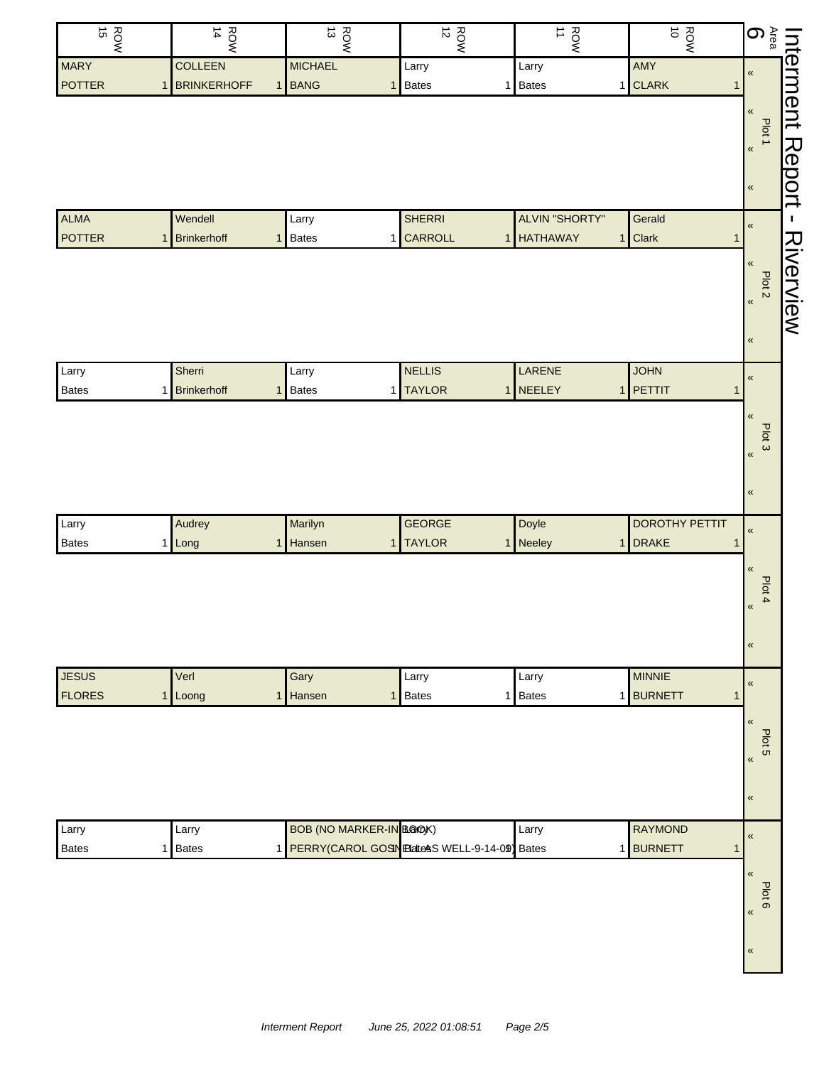| ROW<br>15     | $\frac{RON}{14}$        | $\frac{ROW}{13}$               | $\frac{R}{12}$                                  | $\overrightarrow{ }$<br>ROW | ROW<br>O              | ၜၟႜ<br><b>Interment</b>             |
|---------------|-------------------------|--------------------------------|-------------------------------------------------|-----------------------------|-----------------------|-------------------------------------|
| <b>MARY</b>   | <b>COLLEEN</b>          | <b>MICHAEL</b>                 | Larry                                           | Larry                       | AMY                   | $\pmb{\mathfrak{C}}$                |
| POTTER        | BRINKERHOFF<br>1        | 1 BANG                         | <b>Bates</b><br>1                               | 1 Bates                     | 1 CLARK               | $\mathbf{1}$                        |
|               |                         |                                |                                                 |                             |                       | $\pmb{\mathfrak{C}}$                |
|               |                         |                                |                                                 |                             |                       | Plot 1                              |
|               |                         |                                |                                                 |                             |                       | Report<br>$\pmb{\kappa}$            |
|               |                         |                                |                                                 |                             |                       |                                     |
|               |                         |                                |                                                 |                             |                       | $\pmb{\kappa}$                      |
| <b>ALMA</b>   | Wendell                 | Larry                          | <b>SHERRI</b>                                   | <b>ALVIN "SHORTY"</b>       | Gerald                |                                     |
| <b>POTTER</b> | <b>Brinkerhoff</b><br>1 | 1 Bates                        | 1 CARROLL                                       | 1 HATHAWAY                  | Clark<br>1            | $\pmb{\kappa}$<br>$\mathbf{1}$      |
|               |                         |                                |                                                 |                             |                       | Riverview<br>$\pmb{\kappa}$         |
|               |                         |                                |                                                 |                             |                       |                                     |
|               |                         |                                |                                                 |                             |                       | Plot <sub>2</sub><br>$\pmb{\kappa}$ |
|               |                         |                                |                                                 |                             |                       |                                     |
|               |                         |                                |                                                 |                             |                       | $\pmb{\kappa}$                      |
|               |                         |                                |                                                 |                             |                       |                                     |
| Larry         | Sherri                  | Larry                          | <b>NELLIS</b>                                   | LARENE                      | <b>JOHN</b>           | $\pmb{\mathfrak{C}}$                |
| <b>Bates</b>  | Brinkerhoff             | 1 Bates                        | <b>TAYLOR</b><br>1                              | 1 NEELEY                    | 1 PETTIT              | $\mathbf{1}$                        |
|               |                         |                                |                                                 |                             |                       | $\pmb{\kappa}$                      |
|               |                         |                                |                                                 |                             |                       | Plot 3                              |
|               |                         |                                |                                                 |                             |                       | $\pmb{\kappa}$                      |
|               |                         |                                |                                                 |                             |                       |                                     |
|               |                         |                                |                                                 |                             |                       | $\pmb{\kappa}$                      |
|               |                         |                                |                                                 |                             |                       |                                     |
| Larry         | Audrey                  | Marilyn                        | <b>GEORGE</b>                                   | Doyle                       | <b>DOROTHY PETTIT</b> | $\pmb{\kappa}$                      |
| <b>Bates</b>  | 1 Long                  | 1 Hansen                       | <b>TAYLOR</b><br>$\mathbf{1}$                   | 1 Neeley                    | 1 DRAKE               | 1                                   |
|               |                         |                                |                                                 |                             |                       | $\pmb{\kappa}$                      |
|               |                         |                                |                                                 |                             |                       | Plot 4                              |
|               |                         |                                |                                                 |                             |                       | $\pmb{\kappa}$                      |
|               |                         |                                |                                                 |                             |                       |                                     |
|               |                         |                                |                                                 |                             |                       | $\pmb{\kappa}$                      |
|               |                         |                                |                                                 |                             |                       |                                     |
| <b>JESUS</b>  | Verl                    | Gary                           | Larry                                           | Larry                       | <b>MINNIE</b>         | $\pmb{\mathfrak{C}}$                |
| <b>FLORES</b> | 1 Loong                 | 1 Hansen                       | <b>Bates</b><br>1                               | 1 Bates                     | 1 BURNETT             | $\mathbf{1}$                        |
|               |                         |                                |                                                 |                             |                       | $\pmb{\mathfrak{C}}$                |
|               |                         |                                |                                                 |                             |                       | Plot <sub>5</sub>                   |
|               |                         |                                |                                                 |                             |                       | $\pmb{\mathfrak{C}}$                |
|               |                         |                                |                                                 |                             |                       |                                     |
|               |                         |                                |                                                 |                             |                       | $\pmb{\kappa}$                      |
|               |                         |                                |                                                 |                             |                       |                                     |
| Larry         | Larry                   | <b>BOB (NO MARKER-IN BOOK)</b> |                                                 | Larry                       | <b>RAYMOND</b>        | $\pmb{\kappa}$                      |
| <b>Bates</b>  | <b>Bates</b><br>1       |                                | 1 PERRY(CAROL GOSIN Elates SWELL-9-14-09) Bates |                             | 1 BURNETT             | $\mathbf{1}$                        |
|               |                         |                                |                                                 |                             |                       | $\pmb{\mathfrak{C}}$                |
|               |                         |                                |                                                 |                             |                       | Plot 6                              |
|               |                         |                                |                                                 |                             |                       | $\pmb{\mathcal{R}}$                 |
|               |                         |                                |                                                 |                             |                       |                                     |
|               |                         |                                |                                                 |                             |                       | $\pmb{\kappa}$                      |
|               |                         |                                |                                                 |                             |                       |                                     |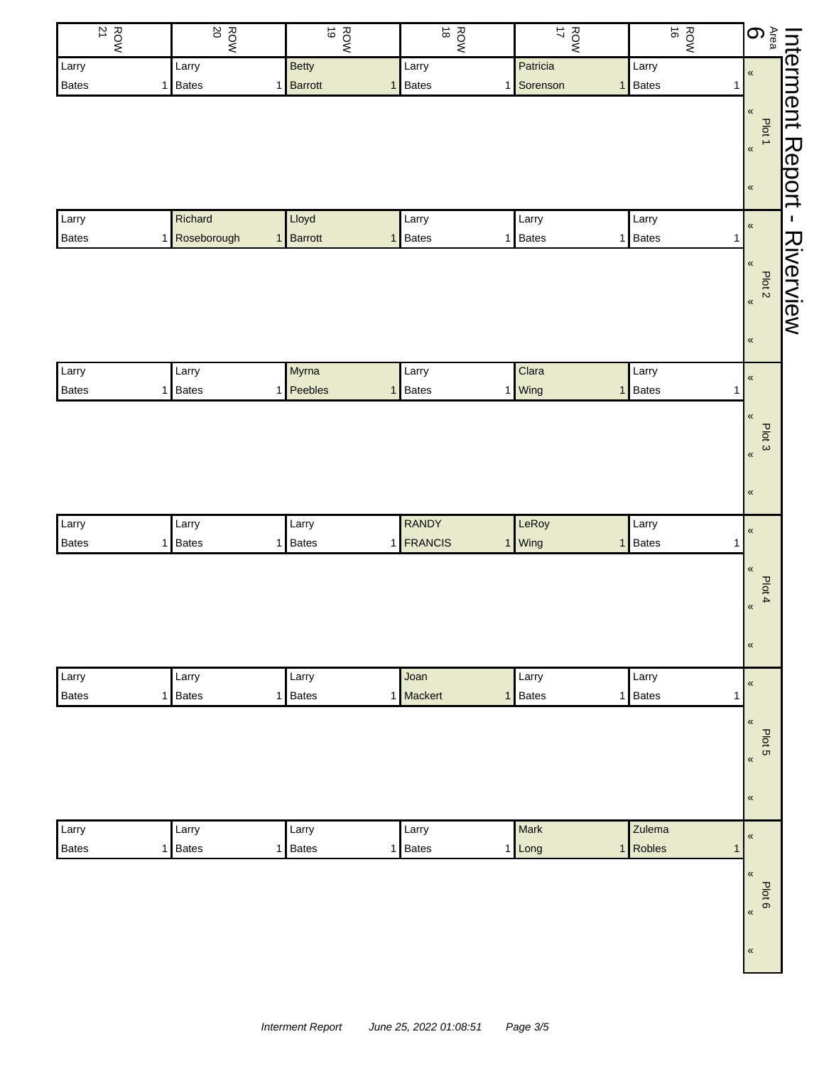| <b>ROW</b><br>21 | <b>ROW</b>                     | ROW<br>NOR | $rac{1}{8}$                  | $\vec{\mathcal{L}}$<br>ROW | ROW<br>16                    | $\mathbf{6}$<br>Interment   |
|------------------|--------------------------------|------------|------------------------------|----------------------------|------------------------------|-----------------------------|
| Larry            | Larry                          | Betty      | Larry                        | Patricia                   | Larry                        | $\pmb{\mathfrak{C}}$        |
| Bates            | <b>Bates</b><br>1 <sup>1</sup> | 1 Barrott  | <b>Bates</b><br>1            | Sorenson<br>1              | <b>Bates</b><br>$\mathbf{1}$ | $\mathbf{1}$                |
|                  |                                |            |                              |                            |                              | $\pmb{\kappa}$              |
|                  |                                |            |                              |                            |                              | Plot 1                      |
|                  |                                |            |                              |                            |                              | Report<br>$\pmb{\kappa}$    |
|                  |                                |            |                              |                            |                              |                             |
|                  |                                |            |                              |                            |                              | $\pmb{\kappa}$              |
| Larry            | Richard                        | Lloyd      | Larry                        | Larry                      | Larry                        | $\pmb{\kappa}$              |
| Bates            | Roseborough<br>11              | 1 Barrott  | <b>Bates</b><br>$\mathbf{1}$ | Bates<br>$\mathbf{1}$      | <b>Bates</b><br>1            | 1                           |
|                  |                                |            |                              |                            |                              | Riverview<br>$\pmb{\kappa}$ |
|                  |                                |            |                              |                            |                              | Plot <sub>2</sub>           |
|                  |                                |            |                              |                            |                              | $\pmb{\kappa}$              |
|                  |                                |            |                              |                            |                              |                             |
|                  |                                |            |                              |                            |                              | $\pmb{\kappa}$              |
| Larry            | Larry                          | Myrna      | Larry                        | Clara                      | Larry                        |                             |
| <b>Bates</b>     | <b>Bates</b><br>1              | 1 Peebles  | <b>Bates</b><br>1            | Wing<br>1                  | Bates<br>$\mathbf{1}$        | $\pmb{\kappa}$<br>1         |
|                  |                                |            |                              |                            |                              | $\pmb{\kappa}$              |
|                  |                                |            |                              |                            |                              |                             |
|                  |                                |            |                              |                            |                              | Plot 3<br>$\pmb{\alpha}$    |
|                  |                                |            |                              |                            |                              |                             |
|                  |                                |            |                              |                            |                              | $\pmb{\kappa}$              |
|                  |                                |            |                              |                            |                              |                             |
| Larry            | Larry                          | Larry      | <b>RANDY</b>                 | LeRoy                      | Larry                        | $\pmb{\kappa}$              |
| Bates            | <b>Bates</b><br>1 <sup>1</sup> | 1 Bates    | 1 FRANCIS                    | Wing<br>1                  | Bates<br>$\mathbf{1}$        | 1                           |
|                  |                                |            |                              |                            |                              | $\pmb{\ll}$                 |
|                  |                                |            |                              |                            |                              | Plot 4                      |
|                  |                                |            |                              |                            |                              | $\pmb{\kappa}$              |
|                  |                                |            |                              |                            |                              |                             |
|                  |                                |            |                              |                            |                              | $\pmb{\kappa}$              |
| Larry            | Larry                          | Larry      | Joan                         | Larry                      | Larry                        |                             |
| Bates            | <b>Bates</b><br>1 <sup>1</sup> | 1 Bates    | Mackert<br>1                 | Bates<br>$\mathbf{1}$      | Bates<br>$\mathbf{1}$        | $\pmb{\ll}$<br>1            |
|                  |                                |            |                              |                            |                              | $\pmb{\ll}$                 |
|                  |                                |            |                              |                            |                              |                             |
|                  |                                |            |                              |                            |                              | Plot 5<br>$\pmb{\langle}$   |
|                  |                                |            |                              |                            |                              |                             |
|                  |                                |            |                              |                            |                              | $\pmb{\kappa}$              |
|                  |                                |            |                              |                            |                              |                             |
| Larry            | Larry                          | Larry      | Larry                        | Mark                       | Zulema                       | $\pmb{\kappa}$              |
| <b>Bates</b>     | <b>Bates</b><br>1 <sub>l</sub> | 1 Bates    | <b>Bates</b><br>1            | 1 Long                     | Robles<br>$\mathbf{1}$       | $\overline{1}$              |
|                  |                                |            |                              |                            |                              | $\pmb{\kappa}$              |
|                  |                                |            |                              |                            |                              | Plot 6                      |
|                  |                                |            |                              |                            |                              | $\langle \langle$           |
|                  |                                |            |                              |                            |                              |                             |
|                  |                                |            |                              |                            |                              | $\pmb{\kappa}$              |
|                  |                                |            |                              |                            |                              |                             |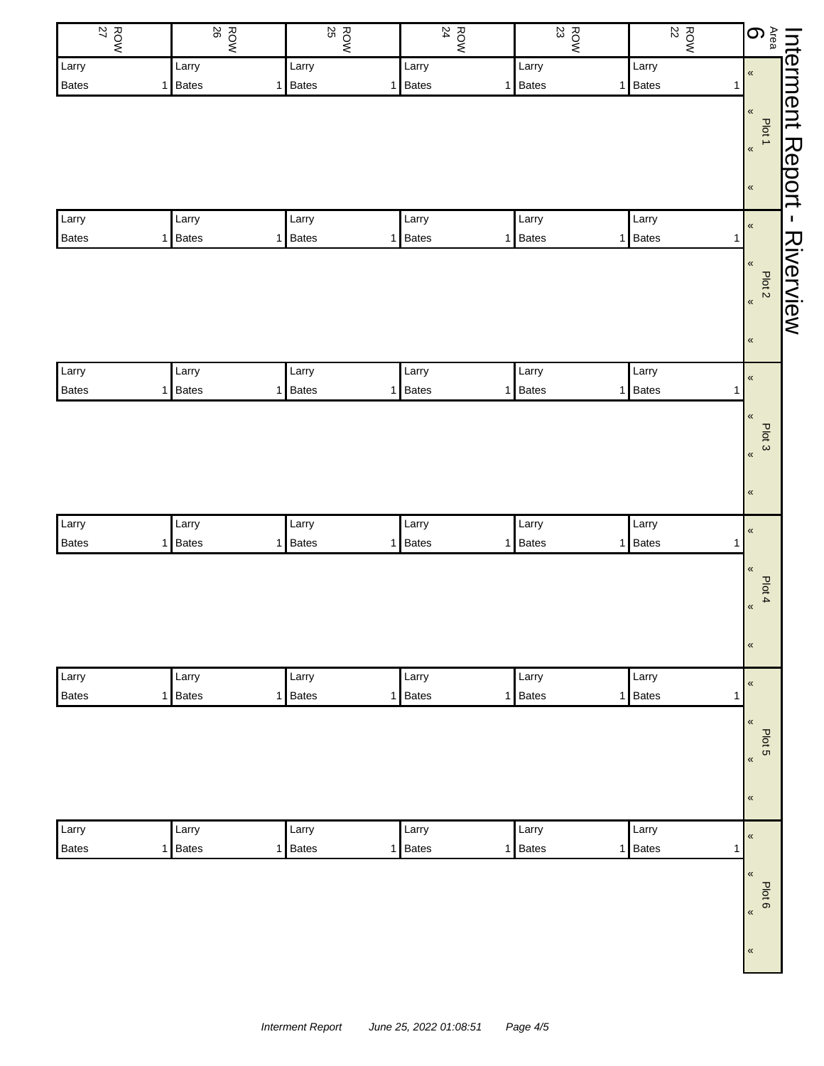| $\frac{ROW}{27}$ | <b>ROW</b>          | $\frac{R}{25}$ | <b>ROW</b><br>24  | 80M     | $\frac{ROW}{22}$      | $\bigoplus_{\text{Area}}$      |
|------------------|---------------------|----------------|-------------------|---------|-----------------------|--------------------------------|
| Larry            | Larry               | Larry          | Larry             | Larry   | Larry                 | $\pmb{\kappa}$                 |
| Bates            | <b>Bates</b><br>1   | 1 Bates        | <b>Bates</b><br>1 | 1 Bates | 1 Bates               | $\mathbf{1}$                   |
|                  |                     |                |                   |         |                       | $\pmb{\kappa}$                 |
|                  |                     |                |                   |         |                       | Plot 1                         |
|                  |                     |                |                   |         |                       | $\pmb{\kappa}$                 |
|                  |                     |                |                   |         |                       | $\pmb{\kappa}$                 |
|                  |                     |                |                   |         |                       |                                |
| Larry            | Larry               | Larry          | Larry             | Larry   | Larry                 | $\pmb{\kappa}$                 |
| Bates            | 1 Bates             | 1 Bates        | <b>Bates</b><br>1 | 1 Bates | 1 Bates               | $\mathbf{1}$                   |
|                  |                     |                |                   |         |                       | $\pmb{\kappa}$                 |
|                  |                     |                |                   |         |                       | Plot <sub>2</sub>              |
|                  |                     |                |                   |         |                       | $\pmb{\alpha}$                 |
|                  |                     |                |                   |         |                       |                                |
|                  |                     |                |                   |         |                       | $\pmb{\kappa}$                 |
| Larry            | Larry               | Larry          | Larry             | Larry   | Larry                 |                                |
| Bates            | <b>Bates</b><br>1 I | 1 Bates        | <b>Bates</b><br>1 | 1 Bates | 1 Bates               | $\pmb{\kappa}$<br>$\mathbf{1}$ |
|                  |                     |                |                   |         |                       | $\pmb{\mathfrak{C}}$           |
|                  |                     |                |                   |         |                       | Plot 3                         |
|                  |                     |                |                   |         |                       | $\pmb{\kappa}$                 |
|                  |                     |                |                   |         |                       |                                |
|                  |                     |                |                   |         |                       | $\pmb{\kappa}$                 |
|                  |                     |                |                   |         |                       |                                |
| Larry            | Larry               | Larry          | Larry             | Larry   | Larry                 | $\overline{\mathbf{K}}$        |
| Bates            | <b>Bates</b><br>1   | 1 Bates        | <b>Bates</b><br>1 | 1 Bates | Bates<br>$\mathbf{1}$ | $\mathbf{1}$                   |
|                  |                     |                |                   |         |                       | $\pmb{\kappa}$                 |
|                  |                     |                |                   |         |                       | Plot 4                         |
|                  |                     |                |                   |         |                       | $\pmb{\kappa}$                 |
|                  |                     |                |                   |         |                       |                                |
|                  |                     |                |                   |         |                       | $\pmb{\kappa}$                 |
| Larry            | Larry               | Larry          | Larry             | Larry   | Larry                 | $\pmb{\mathfrak{C}}$           |
| <b>Bates</b>     | <b>Bates</b><br>1   | 1 Bates        | <b>Bates</b><br>1 | 1 Bates | 1 Bates               | $\mathbf{1}$                   |
|                  |                     |                |                   |         |                       | $\pmb{\mathfrak{C}}$           |
|                  |                     |                |                   |         |                       | Plot 5                         |
|                  |                     |                |                   |         |                       | $\pmb{\kappa}$                 |
|                  |                     |                |                   |         |                       |                                |
|                  |                     |                |                   |         |                       | $\pmb{\kappa}$                 |
|                  |                     |                |                   |         |                       |                                |
| Larry            | Larry               | Larry          | Larry             | Larry   | Larry                 | $\pmb{\mathfrak{C}}$           |
| Bates            | Bates<br>1          | 1 Bates        | <b>Bates</b><br>1 | 1 Bates | 1 Bates               | $\mathbf{1}$                   |
|                  |                     |                |                   |         |                       | $\pmb{\mathfrak{C}}$           |
|                  |                     |                |                   |         |                       | Plot 6                         |
|                  |                     |                |                   |         |                       | $\pmb{\kappa}$                 |
|                  |                     |                |                   |         |                       |                                |
|                  |                     |                |                   |         |                       | $\pmb{\mathfrak{C}}$           |
|                  |                     |                |                   |         |                       |                                |